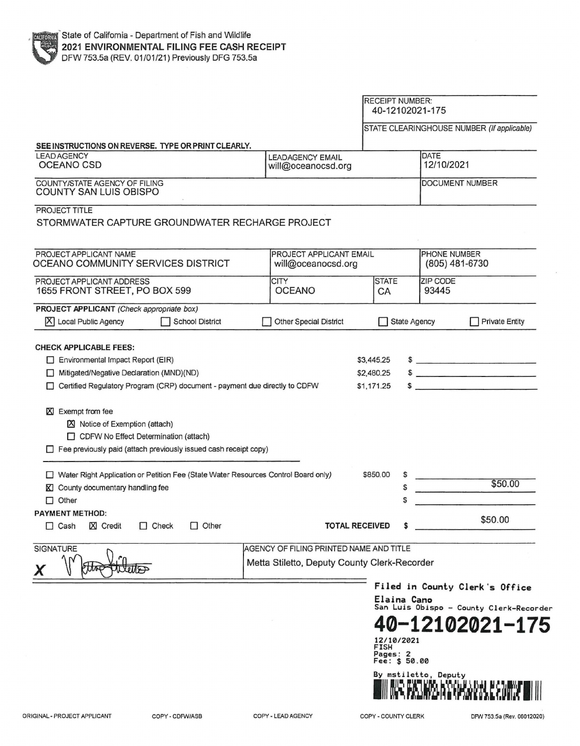|                                                                                                                                                                                                                                                                            |                         | <b>RECEIPT NUMBER:</b><br>40-12102021-175 |                                                           |  |
|----------------------------------------------------------------------------------------------------------------------------------------------------------------------------------------------------------------------------------------------------------------------------|-------------------------|-------------------------------------------|-----------------------------------------------------------|--|
|                                                                                                                                                                                                                                                                            |                         |                                           | STATE CLEARINGHOUSE NUMBER (If applicable)                |  |
| SEE INSTRUCTIONS ON REVERSE. TYPE OR PRINT CLEARLY.<br><b>LEAD AGENCY</b>                                                                                                                                                                                                  |                         |                                           |                                                           |  |
| <b>LEADAGENCY EMAIL</b><br><b>OCEANO CSD</b><br>will@oceanocsd.org                                                                                                                                                                                                         |                         | <b>DATE</b><br>12/10/2021                 |                                                           |  |
| COUNTY/STATE AGENCY OF FILING<br><b>COUNTY SAN LUIS OBISPO</b>                                                                                                                                                                                                             | DOCUMENT NUMBER         |                                           |                                                           |  |
| PROJECT TITLE<br>STORMWATER CAPTURE GROUNDWATER RECHARGE PROJECT                                                                                                                                                                                                           |                         |                                           |                                                           |  |
| PROJECT APPLICANT NAME<br>PROJECT APPLICANT EMAIL<br>OCEANO COMMUNITY SERVICES DISTRICT<br>will@oceanocsd.org                                                                                                                                                              |                         |                                           | PHONE NUMBER<br>(805) 481-6730                            |  |
| <b>CITY</b><br>PROJECT APPLICANT ADDRESS<br><b>OCEANO</b><br>1655 FRONT STREET, PO BOX 599                                                                                                                                                                                 | <b>STATE</b><br>CA      | 93445                                     | <b>ZIP CODE</b>                                           |  |
| PROJECT APPLICANT (Check appropriate box)                                                                                                                                                                                                                                  |                         |                                           |                                                           |  |
| X Local Public Agency<br><b>School District</b><br><b>Other Special District</b>                                                                                                                                                                                           |                         | <b>State Agency</b>                       | <b>Private Entity</b>                                     |  |
|                                                                                                                                                                                                                                                                            |                         |                                           |                                                           |  |
| Exempt from fee<br><b>XI</b><br>区 Notice of Exemption (attach)<br>CDFW No Effect Determination (attach)<br>$\Box$ Fee previously paid (attach previously issued cash receipt copy)<br>□ Water Right Application or Petition Fee (State Water Resources Control Board only) | \$850.00                | \$                                        | \$50.00                                                   |  |
| County documentary handling fee<br>ΚI<br>Other<br>$\Box$                                                                                                                                                                                                                   |                         | S<br>S                                    |                                                           |  |
| Other<br>$\Box$ Cash<br><b>X</b> Credit<br>$\Box$ Check                                                                                                                                                                                                                    | <b>TOTAL RECEIVED</b>   |                                           | \$50.00                                                   |  |
|                                                                                                                                                                                                                                                                            |                         |                                           |                                                           |  |
| AGENCY OF FILING PRINTED NAME AND TITLE<br>Metta Stiletto, Deputy County Clerk-Recorder<br><b>Jelliss</b>                                                                                                                                                                  |                         |                                           |                                                           |  |
|                                                                                                                                                                                                                                                                            |                         |                                           | Filed in County Clerk's Office                            |  |
|                                                                                                                                                                                                                                                                            |                         | Elaina Cano                               |                                                           |  |
|                                                                                                                                                                                                                                                                            | <b>FISH</b><br>Pages: 2 | 12/10/2021                                | San Luis Obispo - County Clerk-Recorder<br>0-12102021-175 |  |
| <b>PAYMENT METHOD:</b><br><b>SIGNATURE</b>                                                                                                                                                                                                                                 |                         | Fee: \$ 50.00<br>By mstiletto, Deputy     |                                                           |  |